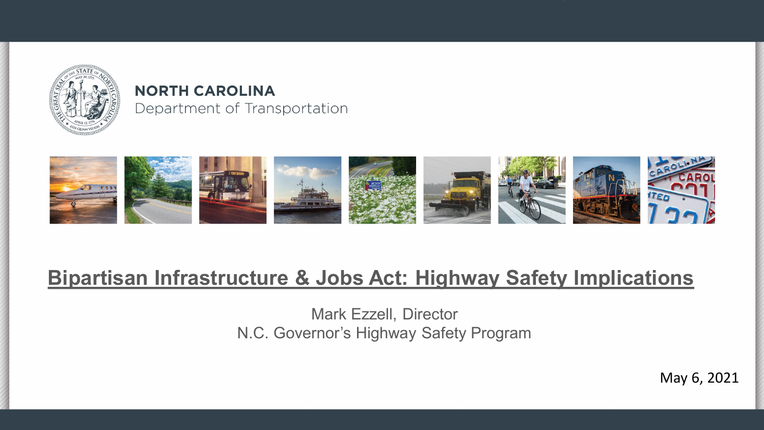

#### **NORTH CAROLINA** Department of Transportation



### **Bipartisan Infrastructure & Jobs Act: Highway Safety Implications**

Mark Ezzell, Director N.C. Governor's Highway Safety Program

May 6, 2021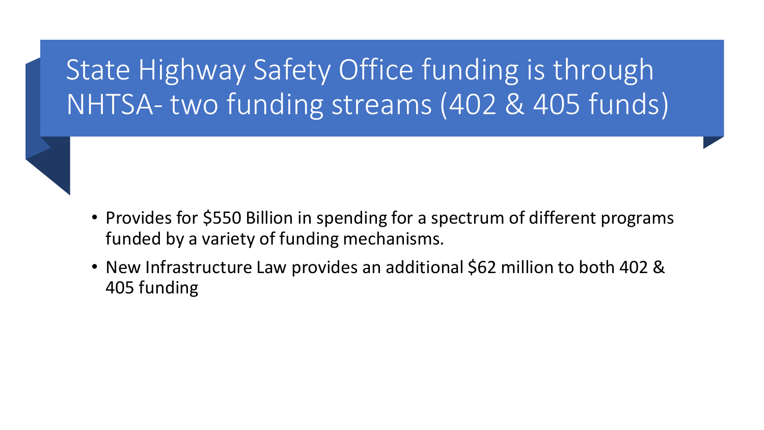## State Highway Safety Office funding is through NHTSA- two funding streams (402 & 405 funds)

- Provides for \$550 Billion in spending for a spectrum of different programs funded by a variety of funding mechanisms.
- New Infrastructure Law provides an additional \$62 million to both 402 & 405 funding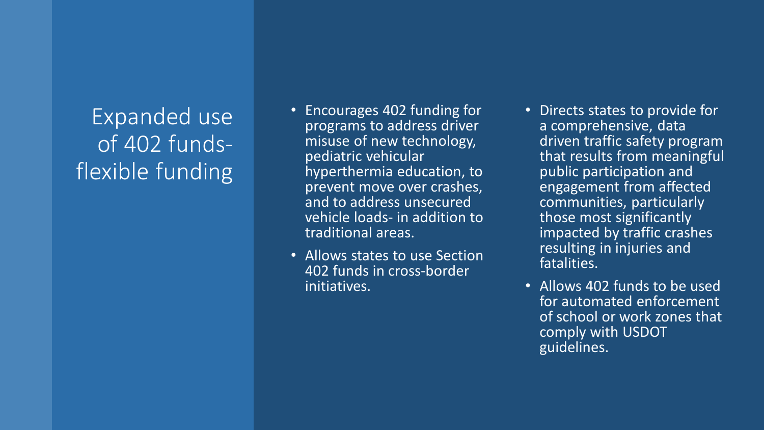### Expanded use of 402 fundsflexible funding

- Encourages 402 funding for programs to address driver misuse of new technology, pediatric vehicular hyperthermia education, to prevent move over crashes, and to address unsecured vehicle loads- in addition to traditional areas.
- Allows states to use Section 402 funds in cross-border initiatives.
- Directs states to provide for a comprehensive, data driven traffic safety program that results from meaningful public participation and engagement from affected communities, particularly those most significantly impacted by traffic crashes resulting in injuries and fatalities.
- Allows 402 funds to be used for automated enforcement of school or work zones that comply with USDOT guidelines.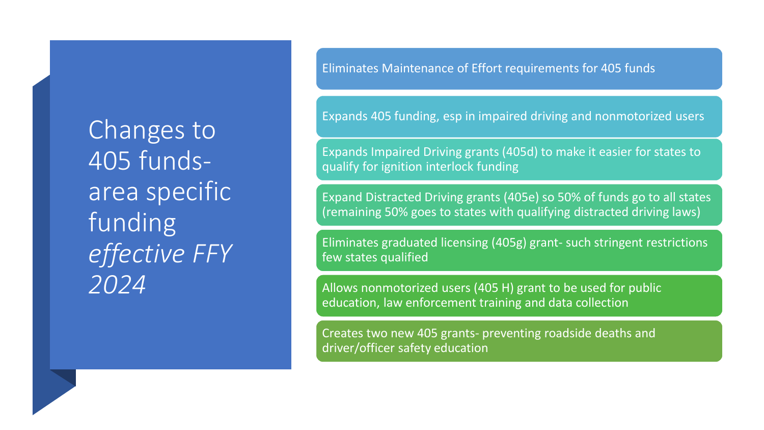Changes to 405 fundsarea specific funding *effective FFY 2024*

Eliminates Maintenance of Effort requirements for 405 funds

Expands 405 funding, esp in impaired driving and nonmotorized users

Expands Impaired Driving grants (405d) to make it easier for states to qualify for ignition interlock funding

Expand Distracted Driving grants (405e) so 50% of funds go to all states (remaining 50% goes to states with qualifying distracted driving laws)

Eliminates graduated licensing (405g) grant- such stringent restrictions few states qualified

Allows nonmotorized users (405 H) grant to be used for public education, law enforcement training and data collection

Creates two new 405 grants- preventing roadside deaths and driver/officer safety education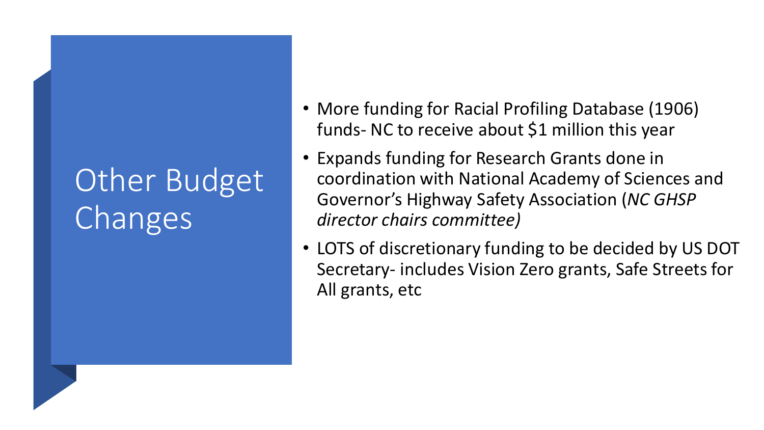# Other Budget Changes

- More funding for Racial Profiling Database (1906) funds- NC to receive about \$1 million this year
- Expands funding for Research Grants done in coordination with National Academy of Sciences and Governor's Highway Safety Association (*NC GHSP director chairs committee)*
- LOTS of discretionary funding to be decided by US DOT Secretary- includes Vision Zero grants, Safe Streets for All grants, etc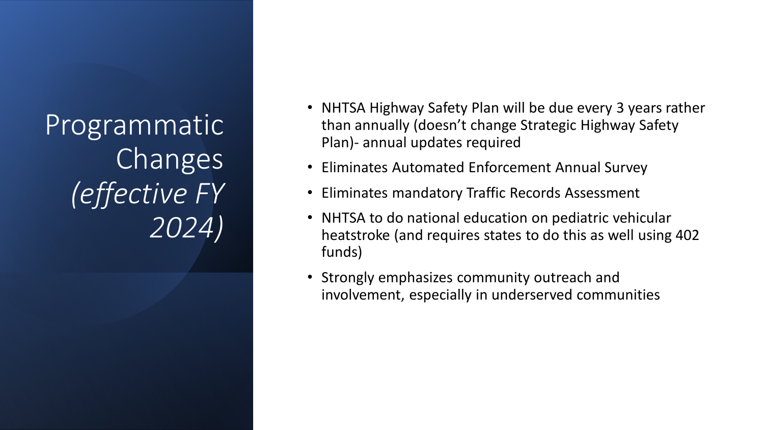Programmatic Changes *(effective FY 2024)*

- NHTSA Highway Safety Plan will be due every 3 years rather than annually (doesn't change Strategic Highway Safety Plan)- annual updates required
- Eliminates Automated Enforcement Annual Survey
- Eliminates mandatory Traffic Records Assessment
- NHTSA to do national education on pediatric vehicular heatstroke (and requires states to do this as well using 402 funds)
- Strongly emphasizes community outreach and involvement, especially in underserved communities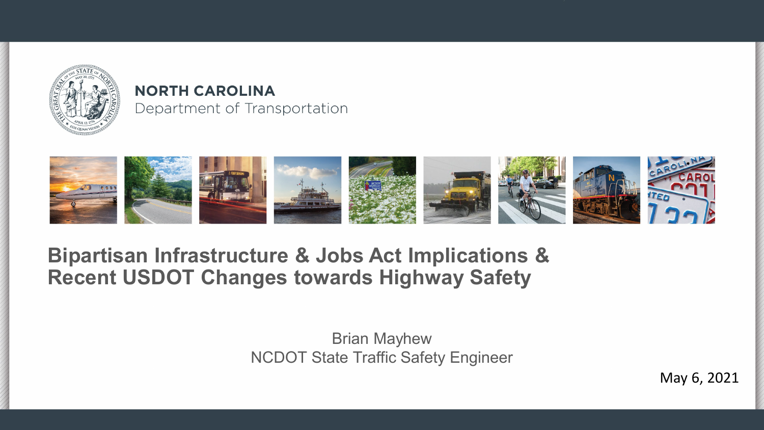

#### **NORTH CAROLINA** Department of Transportation



#### **Bipartisan Infrastructure & Jobs Act Implications & Recent USDOT Changes towards Highway Safety**

Brian Mayhew NCDOT State Traffic Safety Engineer

May 6, 2021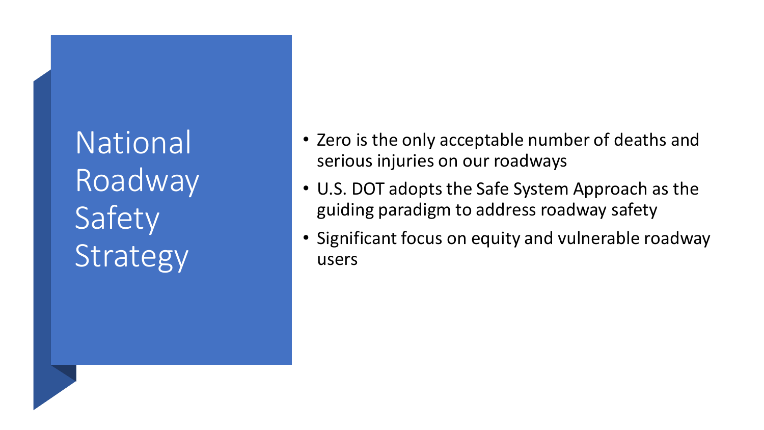National Roadway Safety **Strategy** 

- Zero is the only acceptable number of deaths and serious injuries on our roadways
- U.S. DOT adopts the Safe System Approach as the guiding paradigm to address roadway safety
- Significant focus on equity and vulnerable roadway users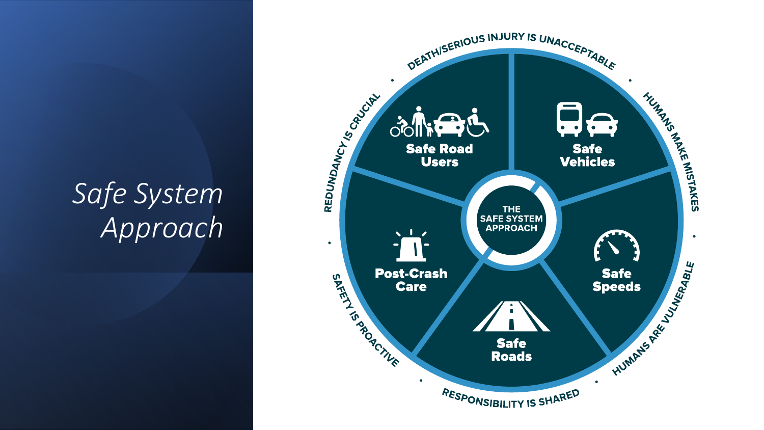## *Safe System Approach*

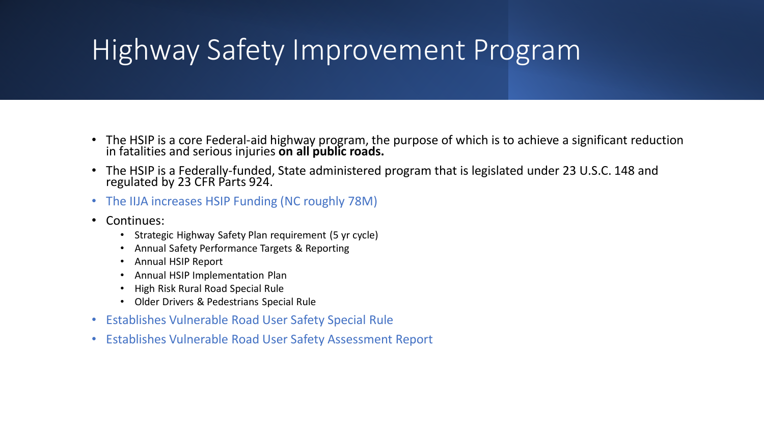## Highway Safety Improvement Program

- The HSIP is a core Federal-aid highway program, the purpose of which is to achieve a significant reduction in fatalities and serious injuries **on all public roads.**
- The HSIP is a Federally-funded, State administered program that is legislated under 23 U.S.C. 148 and regulated by 23 CFR Parts 924.
- The IIJA increases HSIP Funding (NC roughly 78M)
- Continues:
	- Strategic Highway Safety Plan requirement (5 yr cycle)
	- Annual Safety Performance Targets & Reporting
	- Annual HSIP Report
	- Annual HSIP Implementation Plan
	- High Risk Rural Road Special Rule
	- Older Drivers & Pedestrians Special Rule
- Establishes Vulnerable Road User Safety Special Rule
- Establishes Vulnerable Road User Safety Assessment Report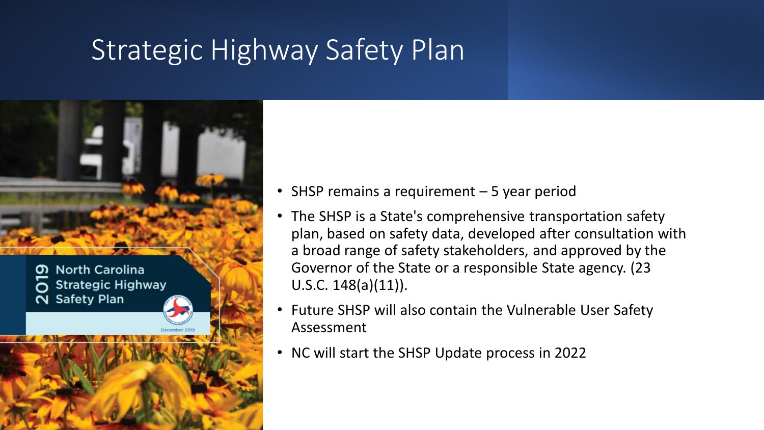### Strategic Highway Safety Plan



- SHSP remains a requirement 5 year period
- The SHSP is a State's comprehensive transportation safety plan, based on safety data, developed after consultation with a broad range of safety stakeholders, and approved by the Governor of the State or a responsible State agency. (23 U.S.C.  $148(a)(11)$ .
- Future SHSP will also contain the Vulnerable User Safety Assessment
- NC will start the SHSP Update process in 2022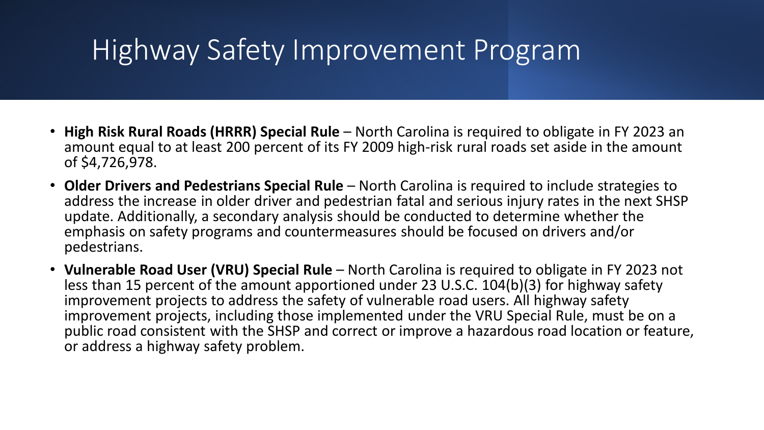## Highway Safety Improvement Program

- **High Risk Rural Roads (HRRR) Special Rule**  North Carolina is required to obligate in FY 2023 an amount equal to at least 200 percent of its FY 2009 high-risk rural roads set aside in the amount of \$4,726,978.
- **Older Drivers and Pedestrians Special Rule**  North Carolina is required to include strategies to address the increase in older driver and pedestrian fatal and serious injury rates in the next SHSP update. Additionally, a secondary analysis should be conducted to determine whether the emphasis on safety programs and countermeasures should be focused on drivers and/or pedestrians.
- **Vulnerable Road User (VRU) Special Rule**  North Carolina is required to obligate in FY 2023 not less than 15 percent of the amount apportioned under 23 U.S.C. 104(b)(3) for highway safety improvement projects to address the safety of vulnerable road users. All highway safety improvement projects, including those implemented under the VRU Special Rule, must be on a public road consistent with the SHSP and correct or improve a hazardous road location or feature, or address a highway safety problem.